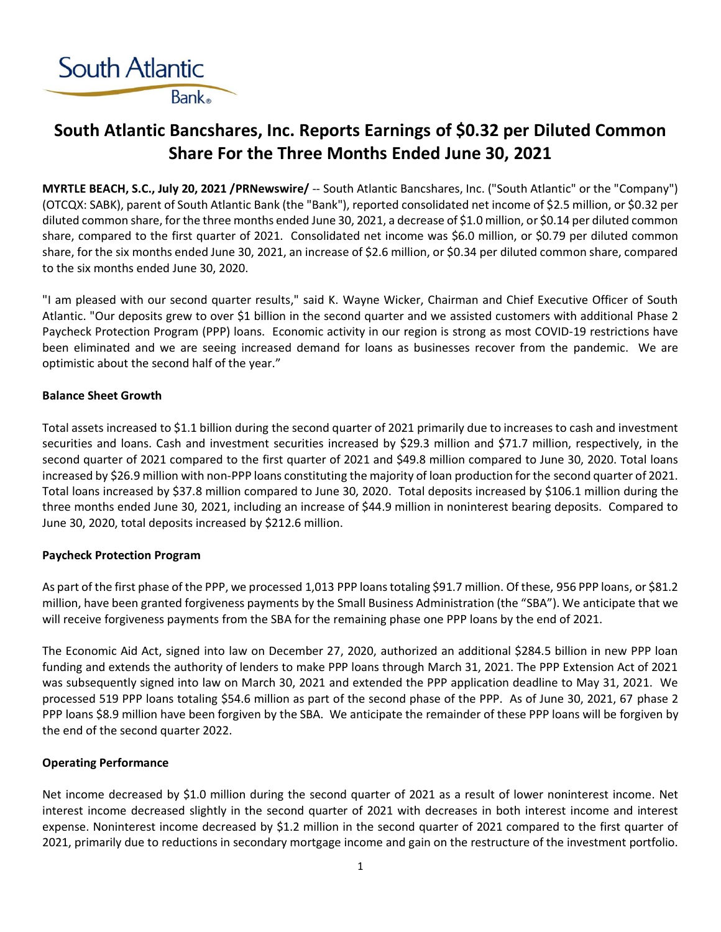

## **South Atlantic Bancshares, Inc. Reports Earnings of \$0.32 per Diluted Common Share For the Three Months Ended June 30, 2021**

**MYRTLE BEACH, S.C., July 20, 2021 /PRNewswire/** -- South Atlantic Bancshares, Inc. ("South Atlantic" or the "Company") (OTCQX: SABK), parent of South Atlantic Bank (the "Bank"), reported consolidated net income of \$2.5 million, or \$0.32 per diluted common share, for the three months ended June 30, 2021, a decrease of \$1.0 million, or \$0.14 per diluted common share, compared to the first quarter of 2021. Consolidated net income was \$6.0 million, or \$0.79 per diluted common share, for the six months ended June 30, 2021, an increase of \$2.6 million, or \$0.34 per diluted common share, compared to the six months ended June 30, 2020.

"I am pleased with our second quarter results," said K. Wayne Wicker, Chairman and Chief Executive Officer of South Atlantic. "Our deposits grew to over \$1 billion in the second quarter and we assisted customers with additional Phase 2 Paycheck Protection Program (PPP) loans. Economic activity in our region is strong as most COVID-19 restrictions have been eliminated and we are seeing increased demand for loans as businesses recover from the pandemic. We are optimistic about the second half of the year."

## **Balance Sheet Growth**

Total assets increased to \$1.1 billion during the second quarter of 2021 primarily due to increases to cash and investment securities and loans. Cash and investment securities increased by \$29.3 million and \$71.7 million, respectively, in the second quarter of 2021 compared to the first quarter of 2021 and \$49.8 million compared to June 30, 2020. Total loans increased by \$26.9 million with non-PPP loans constituting the majority of loan production for the second quarter of 2021. Total loans increased by \$37.8 million compared to June 30, 2020. Total deposits increased by \$106.1 million during the three months ended June 30, 2021, including an increase of \$44.9 million in noninterest bearing deposits. Compared to June 30, 2020, total deposits increased by \$212.6 million.

## **Paycheck Protection Program**

As part of the first phase of the PPP, we processed 1,013 PPP loans totaling \$91.7 million. Of these, 956 PPP loans, or \$81.2 million, have been granted forgiveness payments by the Small Business Administration (the "SBA"). We anticipate that we will receive forgiveness payments from the SBA for the remaining phase one PPP loans by the end of 2021.

The Economic Aid Act, signed into law on December 27, 2020, authorized an additional \$284.5 billion in new PPP loan funding and extends the authority of lenders to make PPP loans through March 31, 2021. The PPP Extension Act of 2021 was subsequently signed into law on March 30, 2021 and extended the PPP application deadline to May 31, 2021. We processed 519 PPP loans totaling \$54.6 million as part of the second phase of the PPP. As of June 30, 2021, 67 phase 2 PPP loans \$8.9 million have been forgiven by the SBA. We anticipate the remainder of these PPP loans will be forgiven by the end of the second quarter 2022.

## **Operating Performance**

Net income decreased by \$1.0 million during the second quarter of 2021 as a result of lower noninterest income. Net interest income decreased slightly in the second quarter of 2021 with decreases in both interest income and interest expense. Noninterest income decreased by \$1.2 million in the second quarter of 2021 compared to the first quarter of 2021, primarily due to reductions in secondary mortgage income and gain on the restructure of the investment portfolio.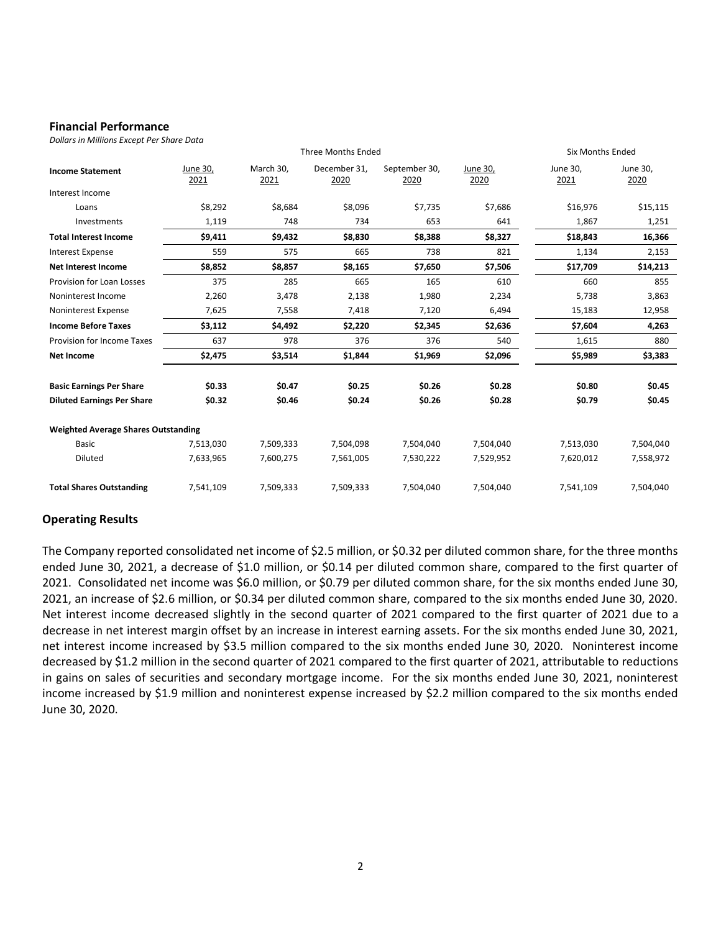## **Financial Performance**

*Dollars in Millions Except Per Share Data*

|                                            | <b>Three Months Ended</b> |                   |                      |                       |                  |                  | <b>Six Months Ended</b> |
|--------------------------------------------|---------------------------|-------------------|----------------------|-----------------------|------------------|------------------|-------------------------|
| <b>Income Statement</b>                    | June 30,<br>2021          | March 30,<br>2021 | December 31.<br>2020 | September 30,<br>2020 | June 30,<br>2020 | June 30,<br>2021 | June 30,<br>2020        |
| Interest Income                            |                           |                   |                      |                       |                  |                  |                         |
| Loans                                      | \$8,292                   | \$8,684           | \$8,096              | \$7,735               | \$7,686          | \$16,976         | \$15,115                |
| Investments                                | 1,119                     | 748               | 734                  | 653                   | 641              | 1,867            | 1,251                   |
| <b>Total Interest Income</b>               | \$9,411                   | \$9,432           | \$8,830              | \$8,388               | \$8,327          | \$18,843         | 16,366                  |
| Interest Expense                           | 559                       | 575               | 665                  | 738                   | 821              | 1,134            | 2,153                   |
| <b>Net Interest Income</b>                 | \$8,852                   | \$8,857           | \$8,165              | \$7,650               | \$7,506          | \$17,709         | \$14,213                |
| Provision for Loan Losses                  | 375                       | 285               | 665                  | 165                   | 610              | 660              | 855                     |
| Noninterest Income                         | 2,260                     | 3,478             | 2,138                | 1,980                 | 2,234            | 5,738            | 3,863                   |
| Noninterest Expense                        | 7,625                     | 7,558             | 7,418                | 7,120                 | 6,494            | 15,183           | 12,958                  |
| <b>Income Before Taxes</b>                 | \$3,112                   | \$4,492           | \$2,220              | \$2,345               | \$2,636          | \$7,604          | 4,263                   |
| Provision for Income Taxes                 | 637                       | 978               | 376                  | 376                   | 540              | 1,615            | 880                     |
| <b>Net Income</b>                          | \$2,475                   | \$3,514           | \$1,844              | \$1,969               | \$2,096          | \$5,989          | \$3,383                 |
| <b>Basic Earnings Per Share</b>            | \$0.33                    | \$0.47            | \$0.25               | \$0.26                | \$0.28           | \$0.80           | \$0.45                  |
| <b>Diluted Earnings Per Share</b>          | \$0.32                    | \$0.46            | \$0.24               | \$0.26                | \$0.28           | \$0.79           | \$0.45                  |
| <b>Weighted Average Shares Outstanding</b> |                           |                   |                      |                       |                  |                  |                         |
| <b>Basic</b>                               | 7,513,030                 | 7,509,333         | 7,504,098            | 7,504,040             | 7,504,040        | 7,513,030        | 7,504,040               |
| Diluted                                    | 7,633,965                 | 7,600,275         | 7,561,005            | 7,530,222             | 7,529,952        | 7,620,012        | 7,558,972               |
| <b>Total Shares Outstanding</b>            | 7,541,109                 | 7,509,333         | 7,509,333            | 7,504,040             | 7,504,040        | 7,541,109        | 7,504,040               |

## **Operating Results**

The Company reported consolidated net income of \$2.5 million, or \$0.32 per diluted common share, for the three months ended June 30, 2021, a decrease of \$1.0 million, or \$0.14 per diluted common share, compared to the first quarter of 2021. Consolidated net income was \$6.0 million, or \$0.79 per diluted common share, for the six months ended June 30, 2021, an increase of \$2.6 million, or \$0.34 per diluted common share, compared to the six months ended June 30, 2020. Net interest income decreased slightly in the second quarter of 2021 compared to the first quarter of 2021 due to a decrease in net interest margin offset by an increase in interest earning assets. For the six months ended June 30, 2021, net interest income increased by \$3.5 million compared to the six months ended June 30, 2020. Noninterest income decreased by \$1.2 million in the second quarter of 2021 compared to the first quarter of 2021, attributable to reductions in gains on sales of securities and secondary mortgage income. For the six months ended June 30, 2021, noninterest income increased by \$1.9 million and noninterest expense increased by \$2.2 million compared to the six months ended June 30, 2020.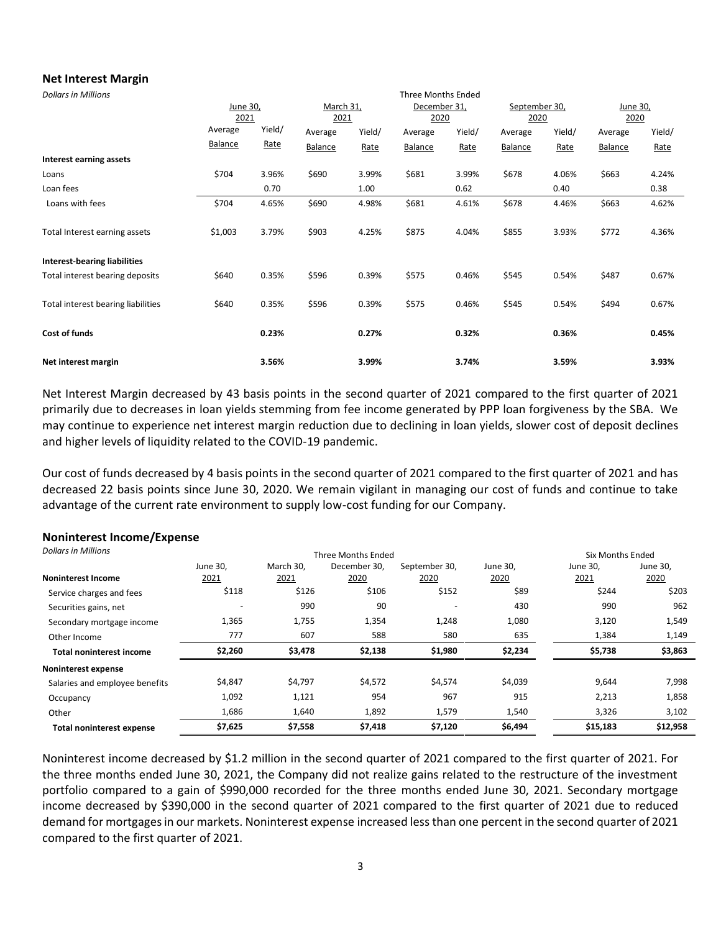## **Net Interest Margin**

| <b>Dollars in Millions</b>          |         |          |         |           | <b>Three Months Ended</b> |              |         |               |         |          |  |
|-------------------------------------|---------|----------|---------|-----------|---------------------------|--------------|---------|---------------|---------|----------|--|
|                                     |         | June 30, |         | March 31, |                           | December 31, |         | September 30, |         | June 30, |  |
|                                     | 2021    |          | 2021    |           | 2020                      |              | 2020    |               | 2020    |          |  |
|                                     | Average | Yield/   | Average | Yield/    | Average                   | Yield/       | Average | Yield/        | Average | Yield/   |  |
|                                     | Balance | Rate     | Balance | Rate      | Balance                   | Rate         | Balance | Rate          | Balance | Rate     |  |
| Interest earning assets             |         |          |         |           |                           |              |         |               |         |          |  |
| Loans                               | \$704   | 3.96%    | \$690   | 3.99%     | \$681                     | 3.99%        | \$678   | 4.06%         | \$663   | 4.24%    |  |
| Loan fees                           |         | 0.70     |         | 1.00      |                           | 0.62         |         | 0.40          |         | 0.38     |  |
| Loans with fees                     | \$704   | 4.65%    | \$690   | 4.98%     | \$681                     | 4.61%        | \$678   | 4.46%         | \$663   | 4.62%    |  |
| Total Interest earning assets       | \$1,003 | 3.79%    | \$903   | 4.25%     | \$875                     | 4.04%        | \$855   | 3.93%         | \$772   | 4.36%    |  |
| <b>Interest-bearing liabilities</b> |         |          |         |           |                           |              |         |               |         |          |  |
| Total interest bearing deposits     | \$640   | 0.35%    | \$596   | 0.39%     | \$575                     | 0.46%        | \$545   | 0.54%         | \$487   | 0.67%    |  |
| Total interest bearing liabilities  | \$640   | 0.35%    | \$596   | 0.39%     | \$575                     | 0.46%        | \$545   | 0.54%         | \$494   | 0.67%    |  |
| Cost of funds                       |         | 0.23%    |         | 0.27%     |                           | 0.32%        |         | 0.36%         |         | 0.45%    |  |
| Net interest margin                 |         | 3.56%    |         | 3.99%     |                           | 3.74%        |         | 3.59%         |         | 3.93%    |  |

Net Interest Margin decreased by 43 basis points in the second quarter of 2021 compared to the first quarter of 2021 primarily due to decreases in loan yields stemming from fee income generated by PPP loan forgiveness by the SBA. We may continue to experience net interest margin reduction due to declining in loan yields, slower cost of deposit declines and higher levels of liquidity related to the COVID-19 pandemic.

Our cost of funds decreased by 4 basis points in the second quarter of 2021 compared to the first quarter of 2021 and has decreased 22 basis points since June 30, 2020. We remain vigilant in managing our cost of funds and continue to take advantage of the current rate environment to supply low-cost funding for our Company.

# **Noninterest Income/Expense**

| <b>Dollars in Millions</b>       |                  |                   | Six Months Ended     |                       |                  |                  |                  |
|----------------------------------|------------------|-------------------|----------------------|-----------------------|------------------|------------------|------------------|
| <b>Noninterest Income</b>        | June 30,<br>2021 | March 30.<br>2021 | December 30,<br>2020 | September 30,<br>2020 | June 30,<br>2020 | June 30,<br>2021 | June 30,<br>2020 |
| Service charges and fees         | \$118            | \$126             | \$106                | \$152                 | \$89             | \$244            | \$203            |
| Securities gains, net            |                  | 990               | 90                   |                       | 430              | 990              | 962              |
| Secondary mortgage income        | 1,365            | 1,755             | 1,354                | 1,248                 | 1,080            | 3,120            | 1,549            |
| Other Income                     | 777              | 607               | 588                  | 580                   | 635              | 1,384            | 1,149            |
| <b>Total noninterest income</b>  | \$2,260          | \$3,478           | \$2,138              | \$1,980               | \$2,234          | \$5,738          | \$3,863          |
| Noninterest expense              |                  |                   |                      |                       |                  |                  |                  |
| Salaries and employee benefits   | \$4,847          | \$4,797           | \$4,572              | \$4,574               | \$4,039          | 9,644            | 7,998            |
| Occupancy                        | 1,092            | 1,121             | 954                  | 967                   | 915              | 2,213            | 1,858            |
| Other                            | 1,686            | 1,640             | 1,892                | 1,579                 | 1,540            | 3,326            | 3,102            |
| <b>Total noninterest expense</b> | \$7,625          | \$7,558           | \$7,418              | \$7,120               | \$6,494          | \$15,183         | \$12,958         |

Noninterest income decreased by \$1.2 million in the second quarter of 2021 compared to the first quarter of 2021. For the three months ended June 30, 2021, the Company did not realize gains related to the restructure of the investment portfolio compared to a gain of \$990,000 recorded for the three months ended June 30, 2021. Secondary mortgage income decreased by \$390,000 in the second quarter of 2021 compared to the first quarter of 2021 due to reduced demand for mortgages in our markets. Noninterest expense increased less than one percent in the second quarter of 2021 compared to the first quarter of 2021.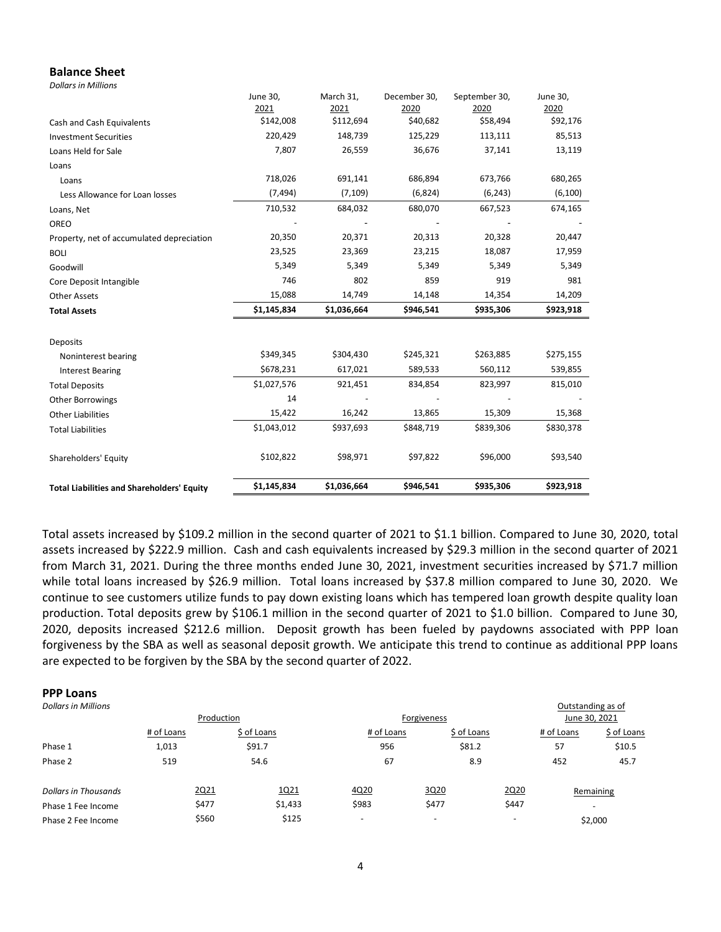### **Balance Sheet**

*Dollars in Millions*

|                                                   | June 30,<br>2021 | March 31,<br>2021 | December 30,<br>2020 | September 30,<br>2020 | June 30,<br>2020 |
|---------------------------------------------------|------------------|-------------------|----------------------|-----------------------|------------------|
| Cash and Cash Equivalents                         | \$142,008        | \$112,694         | \$40,682             | \$58,494              | \$92,176         |
| <b>Investment Securities</b>                      | 220,429          | 148,739           | 125,229              | 113,111               | 85,513           |
| Loans Held for Sale                               | 7,807            | 26,559            | 36,676               | 37,141                | 13,119           |
| Loans                                             |                  |                   |                      |                       |                  |
|                                                   | 718,026          | 691,141           | 686,894              | 673,766               | 680,265          |
| Loans                                             | (7, 494)         | (7, 109)          | (6,824)              | (6, 243)              | (6, 100)         |
| Less Allowance for Loan losses                    |                  |                   |                      |                       |                  |
| Loans, Net                                        | 710,532          | 684,032           | 680,070              | 667,523               | 674,165          |
| OREO                                              |                  |                   |                      |                       |                  |
| Property, net of accumulated depreciation         | 20,350           | 20,371            | 20,313               | 20,328                | 20,447           |
| <b>BOLI</b>                                       | 23,525           | 23,369            | 23,215               | 18,087                | 17,959           |
| Goodwill                                          | 5,349            | 5,349             | 5,349                | 5,349                 | 5,349            |
| Core Deposit Intangible                           | 746              | 802               | 859                  | 919                   | 981              |
| <b>Other Assets</b>                               | 15,088           | 14,749            | 14,148               | 14,354                | 14,209           |
| <b>Total Assets</b>                               | \$1,145,834      | \$1,036,664       | \$946,541            | \$935,306             | \$923,918        |
|                                                   |                  |                   |                      |                       |                  |
| Deposits                                          | \$349,345        | \$304,430         | \$245,321            | \$263,885             | \$275,155        |
| Noninterest bearing                               |                  |                   |                      |                       |                  |
| <b>Interest Bearing</b>                           | \$678,231        | 617,021           | 589,533              | 560,112               | 539,855          |
| <b>Total Deposits</b>                             | \$1,027,576      | 921,451           | 834,854              | 823,997               | 815,010          |
| Other Borrowings                                  | 14               |                   |                      |                       |                  |
| <b>Other Liabilities</b>                          | 15,422           | 16,242            | 13,865               | 15,309                | 15,368           |
| <b>Total Liabilities</b>                          | \$1,043,012      | \$937,693         | \$848,719            | \$839,306             | \$830,378        |
| Shareholders' Equity                              | \$102,822        | \$98,971          | \$97,822             | \$96,000              | \$93,540         |
| <b>Total Liabilities and Shareholders' Equity</b> | \$1,145,834      | \$1,036,664       | \$946,541            | \$935,306             | \$923,918        |

Total assets increased by \$109.2 million in the second quarter of 2021 to \$1.1 billion. Compared to June 30, 2020, total assets increased by \$222.9 million. Cash and cash equivalents increased by \$29.3 million in the second quarter of 2021 from March 31, 2021. During the three months ended June 30, 2021, investment securities increased by \$71.7 million while total loans increased by \$26.9 million. Total loans increased by \$37.8 million compared to June 30, 2020. We continue to see customers utilize funds to pay down existing loans which has tempered loan growth despite quality loan production. Total deposits grew by \$106.1 million in the second quarter of 2021 to \$1.0 billion. Compared to June 30, 2020, deposits increased \$212.6 million. Deposit growth has been fueled by paydowns associated with PPP loan forgiveness by the SBA as well as seasonal deposit growth. We anticipate this trend to continue as additional PPP loans are expected to be forgiven by the SBA by the second quarter of 2022.

#### **PPP Loans**

| <b>Dollars in Millions</b> |            |             |         |             |                          |               |                          | Outstanding as of        |
|----------------------------|------------|-------------|---------|-------------|--------------------------|---------------|--------------------------|--------------------------|
| Production                 |            |             |         | Forgiveness |                          | June 30, 2021 |                          |                          |
|                            | # of Loans | \$ of Loans |         | # of Loans  |                          | \$ of Loans   | # of Loans               | \$ of Loans              |
| Phase 1                    | 1,013      | \$91.7      |         | 956         |                          | \$81.2        | 57                       | \$10.5                   |
| Phase 2                    | 519        | 54.6        |         | 67          |                          | 8.9           | 452                      | 45.7                     |
| Dollars in Thousands       |            | 2Q21        | 1Q21    | 4Q20        | 3Q20                     |               | 2Q20                     | Remaining                |
| Phase 1 Fee Income         |            | \$477       | \$1,433 | \$983       | \$477                    |               | \$447                    | $\overline{\phantom{a}}$ |
| Phase 2 Fee Income         |            | \$560       | \$125   | -           | $\overline{\phantom{0}}$ |               | $\overline{\phantom{0}}$ | \$2,000                  |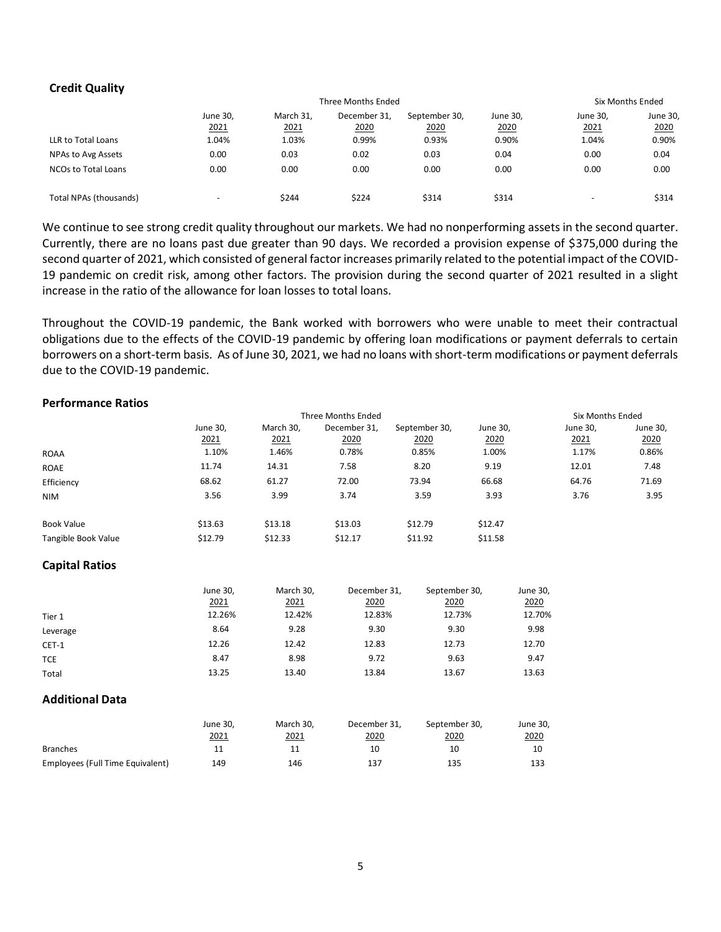## **Credit Quality**

|                            | Three Months Ended       |                   |                      |                       |                  |                          | <b>Six Months Ended</b> |  |
|----------------------------|--------------------------|-------------------|----------------------|-----------------------|------------------|--------------------------|-------------------------|--|
|                            | June 30,<br>2021         | March 31.<br>2021 | December 31.<br>2020 | September 30,<br>2020 | June 30,<br>2020 | June 30,<br>2021         | June 30,<br>2020        |  |
| LLR to Total Loans         | 1.04%                    | 1.03%             | 0.99%                | 0.93%                 | 0.90%            | 1.04%                    | 0.90%                   |  |
| NPAs to Avg Assets         | 0.00                     | 0.03              | 0.02                 | 0.03                  | 0.04             | 0.00                     | 0.04                    |  |
| <b>NCOs to Total Loans</b> | 0.00                     | 0.00              | 0.00                 | 0.00                  | 0.00             | 0.00                     | 0.00                    |  |
| Total NPAs (thousands)     | $\overline{\phantom{0}}$ | \$244             | \$224                | \$314                 | \$314            | $\overline{\phantom{a}}$ | \$314                   |  |

We continue to see strong credit quality throughout our markets. We had no nonperforming assets in the second quarter. Currently, there are no loans past due greater than 90 days. We recorded a provision expense of \$375,000 during the second quarter of 2021, which consisted of general factor increases primarily related to the potential impact of the COVID-19 pandemic on credit risk, among other factors. The provision during the second quarter of 2021 resulted in a slight increase in the ratio of the allowance for loan losses to total loans.

Throughout the COVID-19 pandemic, the Bank worked with borrowers who were unable to meet their contractual obligations due to the effects of the COVID-19 pandemic by offering loan modifications or payment deferrals to certain borrowers on a short-term basis. As of June 30, 2021, we had no loans with short-term modifications or payment deferrals due to the COVID-19 pandemic.

## **Performance Ratios**

|                     |          | Three Months Ended |              |               |          |          | Six Months Ended |  |
|---------------------|----------|--------------------|--------------|---------------|----------|----------|------------------|--|
|                     | June 30, | March 30,          | December 31, | September 30, | June 30, | June 30, | June 30,         |  |
|                     | 2021     | 2021               | 2020         | 2020          | 2020     | 2021     | 2020             |  |
| <b>ROAA</b>         | 1.10%    | 1.46%              | 0.78%        | 0.85%         | 1.00%    | 1.17%    | 0.86%            |  |
| <b>ROAE</b>         | 11.74    | 14.31              | 7.58         | 8.20          | 9.19     | 12.01    | 7.48             |  |
| Efficiency          | 68.62    | 61.27              | 72.00        | 73.94         | 66.68    | 64.76    | 71.69            |  |
| <b>NIM</b>          | 3.56     | 3.99               | 3.74         | 3.59          | 3.93     | 3.76     | 3.95             |  |
| <b>Book Value</b>   | \$13.63  | \$13.18            | \$13.03      | \$12.79       | \$12.47  |          |                  |  |
| Tangible Book Value | \$12.79  | \$12.33            | \$12.17      | \$11.92       | \$11.58  |          |                  |  |

## **Capital Ratios**

|            | June 30, | March 30, | December 31, | September 30, | June 30, |
|------------|----------|-----------|--------------|---------------|----------|
|            | 2021     | 2021      | 2020         | 2020          | 2020     |
| Tier 1     | 12.26%   | 12.42%    | 12.83%       | 12.73%        | 12.70%   |
| Leverage   | 8.64     | 9.28      | 9.30         | 9.30          | 9.98     |
| CET-1      | 12.26    | 12.42     | 12.83        | 12.73         | 12.70    |
| <b>TCE</b> | 8.47     | 8.98      | 9.72         | 9.63          | 9.47     |
| Total      | 13.25    | 13.40     | 13.84        | 13.67         | 13.63    |

## **Additional Data**

|                                  | June 30.<br>2021 | March 30.<br>2021 | December 31,<br>2020 | September 30,<br>2020 | June 30,<br>2020 |
|----------------------------------|------------------|-------------------|----------------------|-----------------------|------------------|
| <b>Branches</b>                  |                  |                   | 10                   | 10                    | 10               |
| Employees (Full Time Equivalent) | 149              | 146               | 137                  | 135                   | 133              |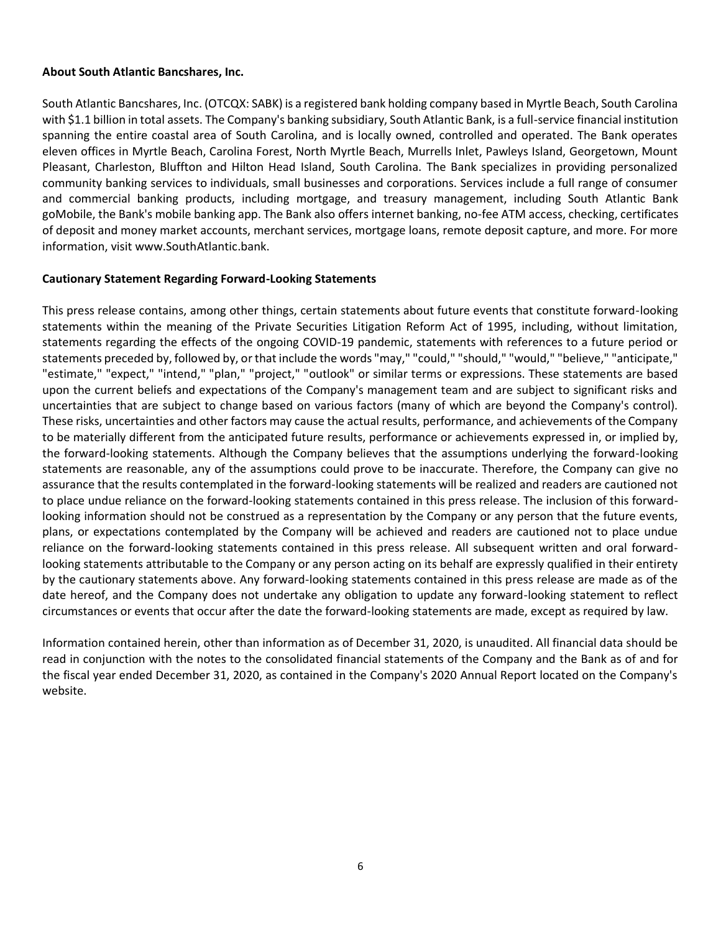## **About South Atlantic Bancshares, Inc.**

South Atlantic Bancshares, Inc. (OTCQX: SABK) is a registered bank holding company based in Myrtle Beach, South Carolina with \$1.1 billion in total assets. The Company's banking subsidiary, South Atlantic Bank, is a full-service financial institution spanning the entire coastal area of South Carolina, and is locally owned, controlled and operated. The Bank operates eleven offices in Myrtle Beach, Carolina Forest, North Myrtle Beach, Murrells Inlet, Pawleys Island, Georgetown, Mount Pleasant, Charleston, Bluffton and Hilton Head Island, South Carolina. The Bank specializes in providing personalized community banking services to individuals, small businesses and corporations. Services include a full range of consumer and commercial banking products, including mortgage, and treasury management, including South Atlantic Bank goMobile, the Bank's mobile banking app. The Bank also offers internet banking, no-fee ATM access, checking, certificates of deposit and money market accounts, merchant services, mortgage loans, remote deposit capture, and more. For more information, visit [www](https://c212.net/c/link/?t=0&l=en&o=3134084-1&h=2509384612&u=http%3A%2F%2Fwww.southatlantic.bank%2F&a=www)[.](https://c212.net/c/link/?t=0&l=en&o=3134084-1&h=1164877883&u=http%3A%2F%2Fwww.southatlantic.bank%2F&a=.)[SouthAtlantic](https://c212.net/c/link/?t=0&l=en&o=3134084-1&h=1827698378&u=http%3A%2F%2Fwww.southatlantic.bank%2F&a=SouthAtlantic)[.](https://c212.net/c/link/?t=0&l=en&o=3134084-1&h=1164877883&u=http%3A%2F%2Fwww.southatlantic.bank%2F&a=.)[bank](https://c212.net/c/link/?t=0&l=en&o=3134084-1&h=30304138&u=http%3A%2F%2Fwww.southatlantic.bank%2F&a=bank)[.](https://c212.net/c/link/?t=0&l=en&o=3134084-1&h=1164877883&u=http%3A%2F%2Fwww.southatlantic.bank%2F&a=.)

## **Cautionary Statement Regarding Forward-Looking Statements**

This press release contains, among other things, certain statements about future events that constitute forward-looking statements within the meaning of the Private Securities Litigation Reform Act of 1995, including, without limitation, statements regarding the effects of the ongoing COVID-19 pandemic, statements with references to a future period or statements preceded by, followed by, or that include the words "may," "could," "should," "would," "believe," "anticipate," "estimate," "expect," "intend," "plan," "project," "outlook" or similar terms or expressions. These statements are based upon the current beliefs and expectations of the Company's management team and are subject to significant risks and uncertainties that are subject to change based on various factors (many of which are beyond the Company's control). These risks, uncertainties and other factors may cause the actual results, performance, and achievements of the Company to be materially different from the anticipated future results, performance or achievements expressed in, or implied by, the forward-looking statements. Although the Company believes that the assumptions underlying the forward-looking statements are reasonable, any of the assumptions could prove to be inaccurate. Therefore, the Company can give no assurance that the results contemplated in the forward-looking statements will be realized and readers are cautioned not to place undue reliance on the forward-looking statements contained in this press release. The inclusion of this forwardlooking information should not be construed as a representation by the Company or any person that the future events, plans, or expectations contemplated by the Company will be achieved and readers are cautioned not to place undue reliance on the forward-looking statements contained in this press release. All subsequent written and oral forwardlooking statements attributable to the Company or any person acting on its behalf are expressly qualified in their entirety by the cautionary statements above. Any forward-looking statements contained in this press release are made as of the date hereof, and the Company does not undertake any obligation to update any forward-looking statement to reflect circumstances or events that occur after the date the forward-looking statements are made, except as required by law.

Information contained herein, other than information as of December 31, 2020, is unaudited. All financial data should be read in conjunction with the notes to the consolidated financial statements of the Company and the Bank as of and for the fiscal year ended December 31, 2020, as contained in the Company's 2020 Annual Report located on the Company's website.